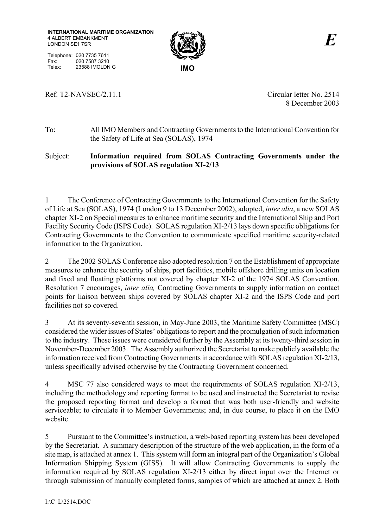

Telephone: 020 7735 7611 Fax: 020 7587 3210<br>Telex: 23588 IMOLDN Telex: 23588 IMOLDN G **IMO** 

## Ref. T2-NAVSEC/2.11.1 Circular letter No. 2514

8 December 2003

To:All IMO Members and Contracting Governments to the International Convention for the Safety of Life at Sea (SOLAS), 1974

## Subject: **Information required from SOLAS Contracting Governments under the provisions of SOLAS regulation XI-2/13**

1 The Conference of Contracting Governments to the International Convention for the Safety of Life at Sea (SOLAS), 1974 (London 9 to 13 December 2002), adopted, *inter alia*, a new SOLAS chapter XI-2 on Special measures to enhance maritime security and the International Ship and Port Facility Security Code (ISPS Code). SOLAS regulation XI-2/13 lays down specific obligations for Contracting Governments to the Convention to communicate specified maritime security-related information to the Organization.

2 The 2002 SOLAS Conference also adopted resolution 7 on the Establishment of appropriate measures to enhance the security of ships, port facilities, mobile offshore drilling units on location and fixed and floating platforms not covered by chapter XI-2 of the 1974 SOLAS Convention. Resolution 7 encourages, *inter alia,* Contracting Governments to supply information on contact points for liaison between ships covered by SOLAS chapter XI-2 and the ISPS Code and port facilities not so covered.

3 At its seventy-seventh session, in May-June 2003, the Maritime Safety Committee (MSC) considered the wider issues of States' obligations to report and the promulgation of such information to the industry. These issues were considered further by the Assembly at its twenty-third session in November-December 2003. The Assembly authorized the Secretariat to make publicly available the information received from Contracting Governments in accordance with SOLAS regulation XI-2/13, unless specifically advised otherwise by the Contracting Government concerned.

4 MSC 77 also considered ways to meet the requirements of SOLAS regulation XI-2/13, including the methodology and reporting format to be used and instructed the Secretariat to revise the proposed reporting format and develop a format that was both user-friendly and website serviceable; to circulate it to Member Governments; and, in due course, to place it on the IMO website.

5 Pursuant to the Committee's instruction, a web-based reporting system has been developed by the Secretariat. A summary description of the structure of the web application, in the form of a site map, is attached at annex 1. This system will form an integral part of the Organization's Global Information Shipping System (GISS). It will allow Contracting Governments to supply the information required by SOLAS regulation XI-2/13 either by direct input over the Internet or through submission of manually completed forms, samples of which are attached at annex 2. Both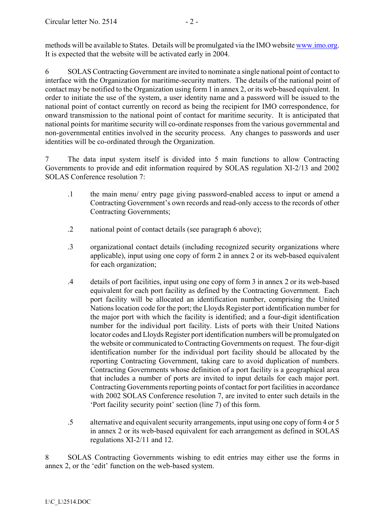methods will be available to States. Details will be promulgated via the IMO website www.imo.org. It is expected that the website will be activated early in 2004.

6 SOLAS Contracting Government are invited to nominate a single national point of contact to interface with the Organization for maritime-security matters. The details of the national point of contact may be notified to the Organization using form 1 in annex 2, or its web-based equivalent. In order to initiate the use of the system, a user identity name and a password will be issued to the national point of contact currently on record as being the recipient for IMO correspondence, for onward transmission to the national point of contact for maritime security. It is anticipated that national points for maritime security will co-ordinate responses from the various governmental and non-governmental entities involved in the security process. Any changes to passwords and user identities will be co-ordinated through the Organization.

7 The data input system itself is divided into 5 main functions to allow Contracting Governments to provide and edit information required by SOLAS regulation XI-2/13 and 2002 SOLAS Conference resolution 7:

- .1 the main menu/ entry page giving password-enabled access to input or amend a Contracting Government's own records and read-only access to the records of other Contracting Governments;
- .2 national point of contact details (see paragraph 6 above);
- .3 organizational contact details (including recognized security organizations where applicable), input using one copy of form 2 in annex 2 or its web-based equivalent for each organization;
- .4 details of port facilities, input using one copy of form 3 in annex 2 or its web-based equivalent for each port facility as defined by the Contracting Government. Each port facility will be allocated an identification number, comprising the United Nations location code for the port; the Lloyds Register port identification number for the major port with which the facility is identified; and a four-digit identification number for the individual port facility. Lists of ports with their United Nations locator codes and Lloyds Register port identification numbers will be promulgated on the website or communicated to Contracting Governments on request. The four-digit identification number for the individual port facility should be allocated by the reporting Contracting Government, taking care to avoid duplication of numbers. Contracting Governments whose definition of a port facility is a geographical area that includes a number of ports are invited to input details for each major port. Contracting Governments reporting points of contact for port facilities in accordance with 2002 SOLAS Conference resolution 7, are invited to enter such details in the Port facility security point' section (line 7) of this form.
- .5 alternative and equivalent security arrangements, input using one copy of form 4 or 5 in annex 2 or its web-based equivalent for each arrangement as defined in SOLAS regulations XI-2/11 and 12.

8 SOLAS Contracting Governments wishing to edit entries may either use the forms in annex 2, or the 'edit' function on the web-based system.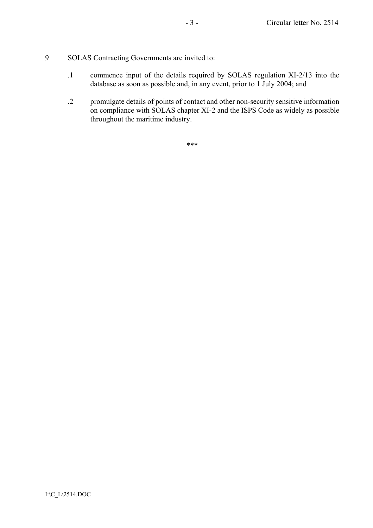- 9 SOLAS Contracting Governments are invited to:
	- .1 commence input of the details required by SOLAS regulation XI-2/13 into the database as soon as possible and, in any event, prior to 1 July 2004; and
	- .2 promulgate details of points of contact and other non-security sensitive information on compliance with SOLAS chapter XI-2 and the ISPS Code as widely as possible throughout the maritime industry.

\*\*\*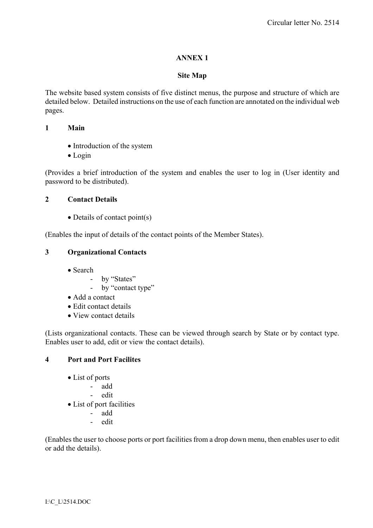## **ANNEX 1**

#### **Site Map**

The website based system consists of five distinct menus, the purpose and structure of which are detailed below. Detailed instructions on the use of each function are annotated on the individual web pages.

#### **1 Main**

- Introduction of the system
- Login

(Provides a brief introduction of the system and enables the user to log in (User identity and password to be distributed).

### **2 Contact Details**

• Details of contact point(s)

(Enables the input of details of the contact points of the Member States).

### **3 Organizational Contacts**

- Search
	- by "States"
	- by "contact type"
- Add a contact
- Edit contact details
- View contact details

(Lists organizational contacts. These can be viewed through search by State or by contact type. Enables user to add, edit or view the contact details).

### **4 Port and Port Facilites**

- List of ports
	- add
	- edit
- List of port facilities
	- add
	- edit

(Enables the user to choose ports or port facilities from a drop down menu, then enables user to edit or add the details).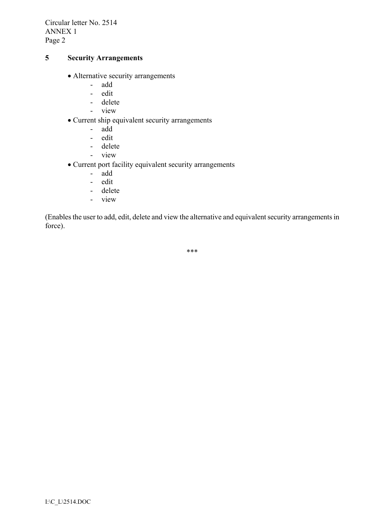Circular letter No. 2514 ANNEX 1 Page 2

#### **5 Security Arrangements**

- Alternative security arrangements
	- add
	- edit
	- delete
	- view
- Current ship equivalent security arrangements
	- add
	- edit
	- delete
	- view
- Current port facility equivalent security arrangements
	- add
	- edit
	- delete
	- view

(Enables the user to add, edit, delete and view the alternative and equivalent security arrangements in force).

\*\*\*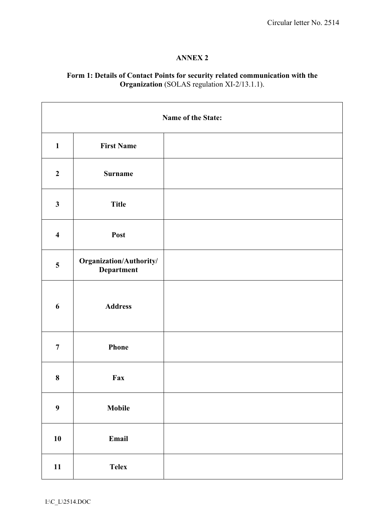#### **ANNEX 2**

#### **Form 1: Details of Contact Points for security related communication with the Organization** (SOLAS regulation XI-2/13.1.1).

| Name of the State:      |                                       |  |
|-------------------------|---------------------------------------|--|
| $\mathbf{1}$            | <b>First Name</b>                     |  |
| $\boldsymbol{2}$        | <b>Surname</b>                        |  |
| $\mathbf{3}$            | <b>Title</b>                          |  |
| $\overline{\mathbf{4}}$ | Post                                  |  |
| 5                       | Organization/Authority/<br>Department |  |
| 6                       | <b>Address</b>                        |  |
| $\overline{7}$          | Phone                                 |  |
| $\bf 8$                 | Fax                                   |  |
| $\boldsymbol{9}$        | Mobile                                |  |
| $10\,$                  | Email                                 |  |
| 11                      | <b>Telex</b>                          |  |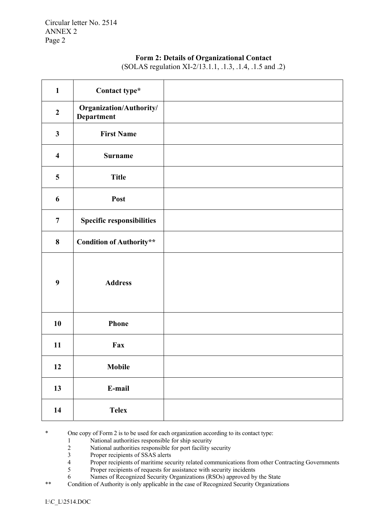#### **Form 2: Details of Organizational Contact**

| $\mathbf{1}$            | Contact type*                                |  |
|-------------------------|----------------------------------------------|--|
| $\boldsymbol{2}$        | Organization/Authority/<br><b>Department</b> |  |
| $\mathbf{3}$            | <b>First Name</b>                            |  |
| $\overline{\mathbf{4}}$ | <b>Surname</b>                               |  |
| 5                       | <b>Title</b>                                 |  |
| 6                       | Post                                         |  |
| $\overline{7}$          | <b>Specific responsibilities</b>             |  |
| 8                       | <b>Condition of Authority**</b>              |  |
| 9                       | <b>Address</b>                               |  |
| 10                      | Phone                                        |  |
| 11                      | Fax                                          |  |
| 12                      | <b>Mobile</b>                                |  |
| 13                      | E-mail                                       |  |
| 14                      | <b>Telex</b>                                 |  |

(SOLAS regulation XI-2/13.1.1, .1.3, .1.4, .1.5 and .2)

\* One copy of Form 2 is to be used for each organization according to its contact type:

- 
- 1 National authorities responsible for ship security<br>2 National authorities responsible for port facility s 2 National authorities responsible for port facility security<br>3 Proper recipients of SSAS alerts
- Proper recipients of SSAS alerts
- 4 Proper recipients of maritime security related communications from other Contracting Governments<br>5 Proper recipients of requests for assistance with security incidents
- Proper recipients of requests for assistance with security incidents
- 6 Names of Recognized Security Organizations (RSOs) approved by the State
- \*\* Condition of Authority is only applicable in the case of Recognized Security Organizations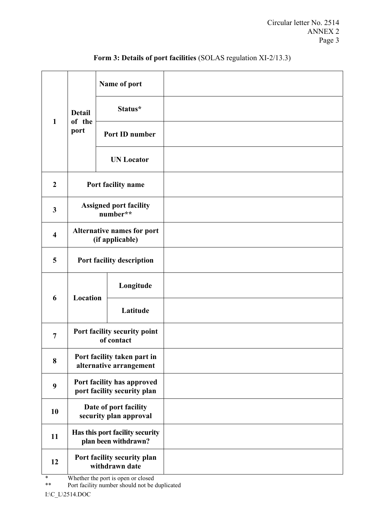|                         | <b>Detail</b><br>of the<br>port                           | Name of port                                  |  |
|-------------------------|-----------------------------------------------------------|-----------------------------------------------|--|
| $\mathbf{1}$            |                                                           | Status*                                       |  |
|                         |                                                           | Port ID number                                |  |
|                         |                                                           | <b>UN Locator</b>                             |  |
| $\boldsymbol{2}$        | Port facility name                                        |                                               |  |
| $\mathbf{3}$            | <b>Assigned port facility</b><br>number**                 |                                               |  |
| $\overline{\mathbf{4}}$ | <b>Alternative names for port</b><br>(if applicable)      |                                               |  |
| 5                       | Port facility description                                 |                                               |  |
|                         |                                                           | Longitude                                     |  |
| 6                       | Location                                                  | Latitude                                      |  |
| $\overline{7}$          | Port facility security point<br>of contact                |                                               |  |
| 8                       | Port facility taken part in<br>alternative arrangement    |                                               |  |
| 9                       | Port facility has approved<br>port facility security plan |                                               |  |
| 10                      | Date of port facility<br>security plan approval           |                                               |  |
| 11                      | Has this port facility security<br>plan been withdrawn?   |                                               |  |
| 12                      |                                                           | Port facility security plan<br>withdrawn date |  |

# **Form 3: Details of port facilities** (SOLAS regulation XI-2/13.3)

\* Whether the port is open or closed<br>\*\* Port facility number should not be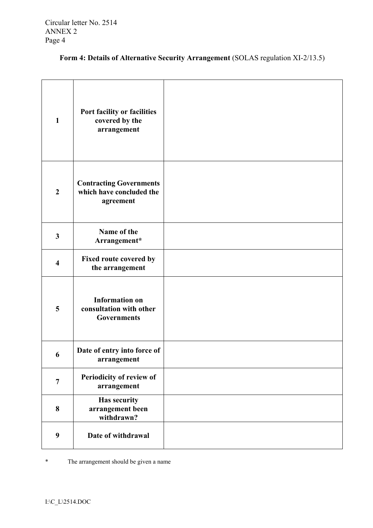| Form 4: Details of Alternative Security Arrangement (SOLAS regulation XI-2/13.5) |  |  |
|----------------------------------------------------------------------------------|--|--|
|----------------------------------------------------------------------------------|--|--|

| $\mathbf{1}$            | Port facility or facilities<br>covered by the<br>arrangement            |  |
|-------------------------|-------------------------------------------------------------------------|--|
| $\boldsymbol{2}$        | <b>Contracting Governments</b><br>which have concluded the<br>agreement |  |
| $\mathbf{3}$            | Name of the<br>Arrangement*                                             |  |
| $\overline{\mathbf{4}}$ | Fixed route covered by<br>the arrangement                               |  |
| 5                       | <b>Information on</b><br>consultation with other<br><b>Governments</b>  |  |
| 6                       | Date of entry into force of<br>arrangement                              |  |
| $\overline{7}$          | Periodicity of review of<br>arrangement                                 |  |
| 8                       | <b>Has security</b><br>arrangement been<br>withdrawn?                   |  |
| $\boldsymbol{9}$        | Date of withdrawal                                                      |  |

\* The arrangement should be given a name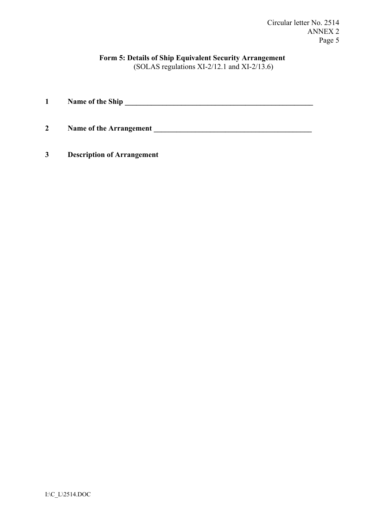Circular letter No. 2514 ANNEX 2 Page 5

# **Form 5: Details of Ship Equivalent Security Arrangement**

(SOLAS regulations XI-2/12.1 and XI-2/13.6)

| $\mathbf 1$    | Name of the Ship               |
|----------------|--------------------------------|
| $\overline{2}$ | <b>Name of the Arrangement</b> |

**3 Description of Arrangement**